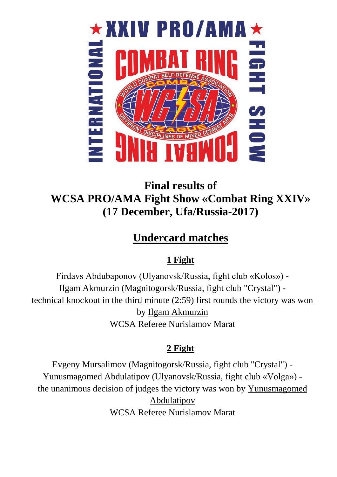

# **Final results of WCSA PRO/AMA Fight Show «Combat Ring XXIV» (17 December, Ufa/Russia-2017)**

# **Undercard matches**

## **1 Fight**

Firdavs Abdubaponov (Ulyanovsk/Russia, fight club «Kolos») - Ilgam Akmurzin (Magnitogorsk/Russia, fight club "Crystal") technical knockout in the third minute (2:59) first rounds the victory was won by Ilgam Akmurzin WCSA Referee Nurislamov Marat

## **2 Fight**

Evgeny Mursalimov (Magnitogorsk/Russia, fight club "Crystal") - Yunusmagomed Abdulatipov (Ulyanovsk/Russia, fight club «Volga») the unanimous decision of judges the victory was won by Yunusmagomed Abdulatipov WCSA Referee Nurislamov Marat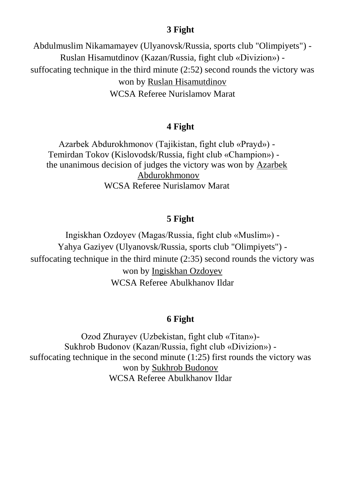#### **3 Fight**

Abdulmuslim Nikamamayev (Ulyanovsk/Russia, sports club "Olimpiyets") - Ruslan Hisamutdinov (Kazan/Russia, fight club «Divizion») suffocating technique in the third minute (2:52) second rounds the victory was won by Ruslan Hisamutdinov WCSA Referee Nurislamov Marat

#### **4 Fight**

Azarbek Abdurokhmonov (Tajikistan, fight club «Prayd») - Temirdan Tokov (Kislovodsk/Russia, fight club «Champion») the unanimous decision of judges the victory was won by Azarbek Abdurokhmonov WCSA Referee Nurislamov Marat

### **5 Fight**

Ingiskhan Ozdoyev (Magas/Russia, fight club «Muslim») - Yahya Gaziyev (Ulyanovsk/Russia, sports club "Olimpiyets") suffocating technique in the third minute (2:35) second rounds the victory was won by Ingiskhan Ozdoyev WCSA Referee Abulkhanov Ildar

### **6 Fight**

Ozod Zhurayev (Uzbekistan, fight club «Titan»)- Sukhrob Budonov (Kazan/Russia, fight club «Divizion») suffocating technique in the second minute (1:25) first rounds the victory was won by Sukhrob Budonov WCSA Referee Abulkhanov Ildar